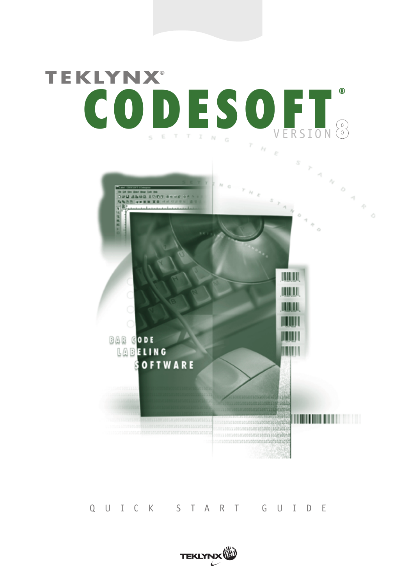# **TEKLYNX® CODESOFT ®** VERSION **8**



### QUICK START GUIDE

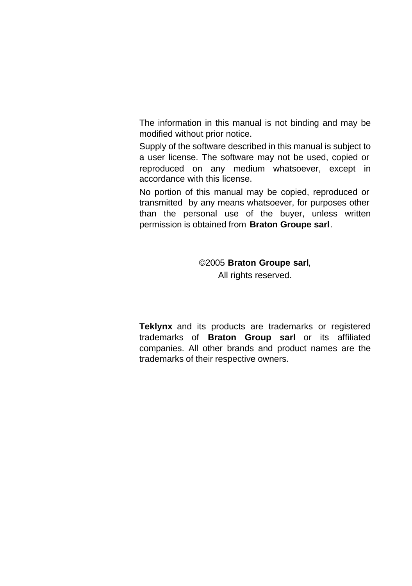The information in this manual is not binding and may be modified without prior notice.

Supply of the software described in this manual is subject to a user license. The software may not be used, copied or reproduced on any medium whatsoever, except in accordance with this license.

No portion of this manual may be copied, reproduced or transmitted by any means whatsoever, for purposes other than the personal use of the buyer, unless written permission is obtained from **Braton Groupe sarl**.

#### ©2005 **Braton Groupe sarl**,

All rights reserved.

**Teklynx** and its products are trademarks or registered trademarks of **Braton Group sarl** or its affiliated companies. All other brands and product names are the trademarks of their respective owners.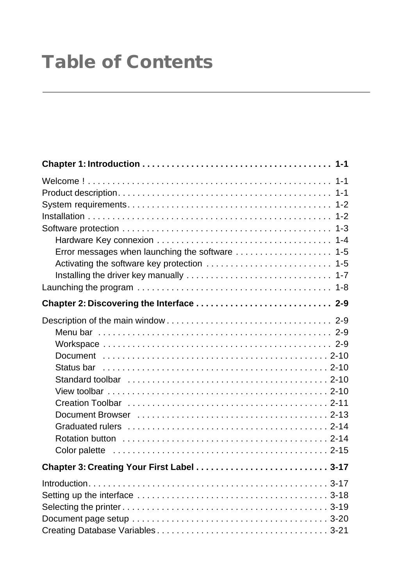# **Table of Contents**

| Error messages when launching the software  1-5<br>Activating the software key protection  1-5<br>Launching the program $\ldots \ldots \ldots \ldots \ldots \ldots \ldots \ldots \ldots \ldots \ldots \ldots$ |
|---------------------------------------------------------------------------------------------------------------------------------------------------------------------------------------------------------------|
|                                                                                                                                                                                                               |
| Standard toolbar $\dots\dots\dots\dots\dots\dots\dots\dots\dots\dots\dots\dots\dots$ 2-10                                                                                                                     |
|                                                                                                                                                                                                               |
|                                                                                                                                                                                                               |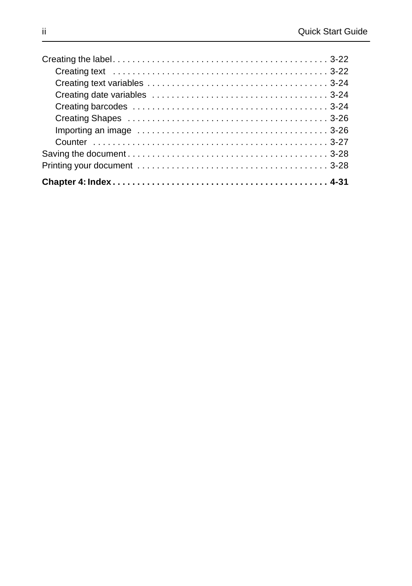| Importing an image $\dots\dots\dots\dots\dots\dots\dots\dots\dots\dots\dots\dots\dots$ 3-26 |  |
|---------------------------------------------------------------------------------------------|--|
|                                                                                             |  |
|                                                                                             |  |
|                                                                                             |  |
|                                                                                             |  |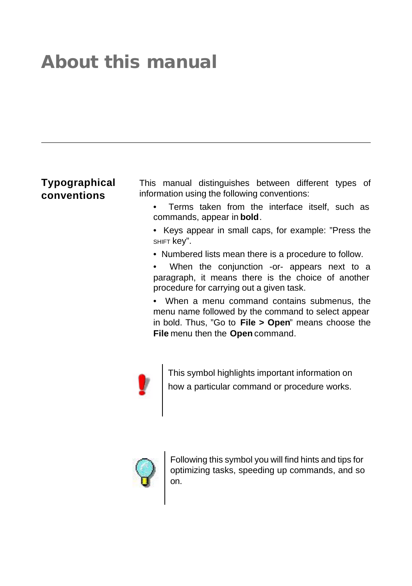# **About this manual**

# **Typographical conventions**

This manual distinguishes between different types of information using the following conventions:

- Terms taken from the interface itself, such as commands, appear in **bold**.
- Keys appear in small caps, for example: "Press the SHIFT key".
- Numbered lists mean there is a procedure to follow.
- When the conjunction -or- appears next to a paragraph, it means there is the choice of another procedure for carrying out a given task.

• When a menu command contains submenus, the menu name followed by the command to select appear in bold. Thus, "Go to **File > Open**" means choose the **File** menu then the **Open** command.



This symbol highlights important information on how a particular command or procedure works.



Following this symbol you will find hints and tips for optimizing tasks, speeding up commands, and so on.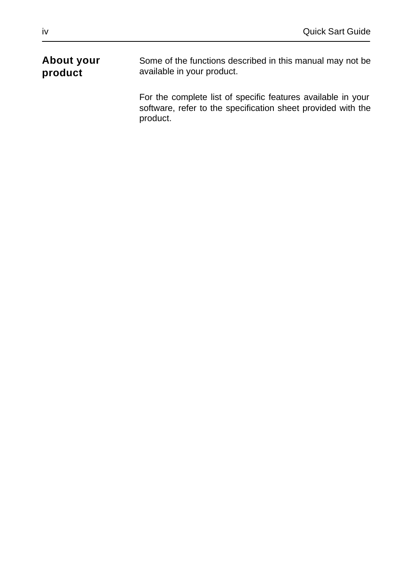#### **About your product** Some of the functions described in this manual may not be available in your product.

For the complete list of specific features available in your software, refer to the specification sheet provided with the product.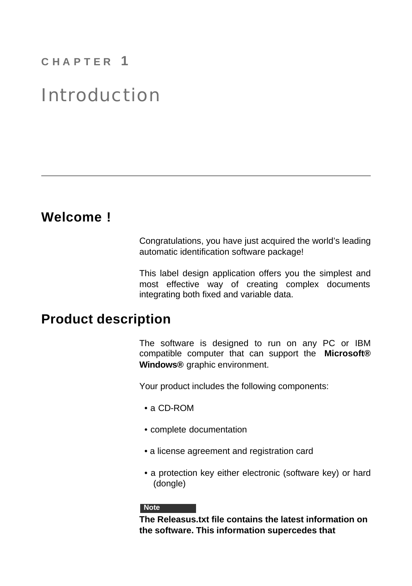# **C H A P T E R 1**

# Introduction

# **Welcome !**

Congratulations, you have just acquired the world's leading automatic identification software package!

This label design application offers you the simplest and most effective way of creating complex documents integrating both fixed and variable data.

# **Product description**

The software is designed to run on any PC or IBM compatible computer that can support the **Microsoft® Windows®** graphic environment.

Your product includes the following components:

- a CD-ROM
- complete documentation
- a license agreement and registration card
- a protection key either electronic (software key) or hard (dongle)

#### **Note**

**The Releasus.txt file contains the latest information on the software. This information supercedes that**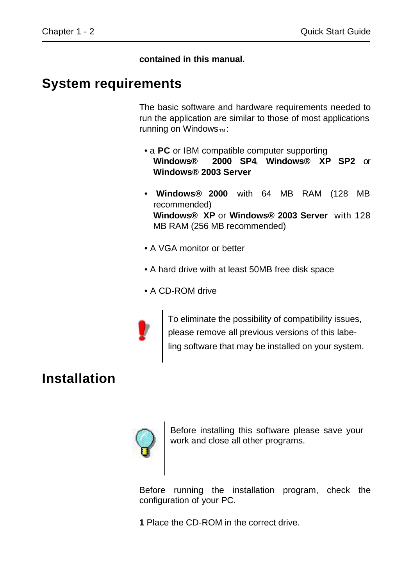**contained in this manual.**

# **System requirements**

The basic software and hardware requirements needed to run the application are similar to those of most applications running on Windows $_{TM}$ :

- a **PC** or IBM compatible computer supporting **Windows® 2000 SP4**, **Windows® XP SP2** or **Windows® 2003 Server**
- **Windows® 2000** with 64 MB RAM (128 MB recommended) **Windows® XP** or **Windows® 2003 Server** with 128 MB RAM (256 MB recommended)
- A VGA monitor or better
- A hard drive with at least 50MB free disk space
- A CD-ROM drive



To eliminate the possibility of compatibility issues, please remove all previous versions of this labeling software that may be installed on your system.

# **Installation**



Before installing this software please save your work and close all other programs.

Before running the installation program, check the configuration of your PC.

**1** Place the CD-ROM in the correct drive.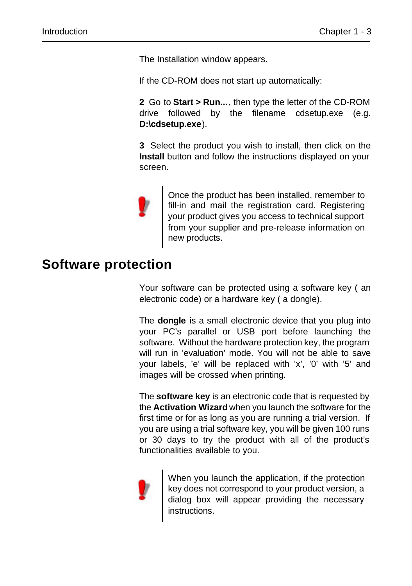The Installation window appears.

If the CD-ROM does not start up automatically:

**2** Go to **Start > Run...**, then type the letter of the CD-ROM drive followed by the filename cdsetup.exe (e.g. **D:\cdsetup.exe**).

**3** Select the product you wish to install, then click on the **Install** button and follow the instructions displayed on your screen.



Once the product has been installed, remember to fill-in and mail the registration card. Registering your product gives you access to technical support from your supplier and pre-release information on new products.

# **Software protection**

Your software can be protected using a software key ( an electronic code) or a hardware key ( a dongle).

The **dongle** is a small electronic device that you plug into your PC's parallel or USB port before launching the software. Without the hardware protection key, the program will run in 'evaluation' mode. You will not be able to save your labels, 'e' will be replaced with 'x', '0' with '5' and images will be crossed when printing.

The **software key** is an electronic code that is requested by the **Activation Wizard** when you launch the software for the first time or for as long as you are running a trial version. If you are using a trial software key, you will be given 100 runs or 30 days to try the product with all of the product's functionalities available to you.



When you launch the application, if the protection key does not correspond to your product version, a dialog box will appear providing the necessary instructions.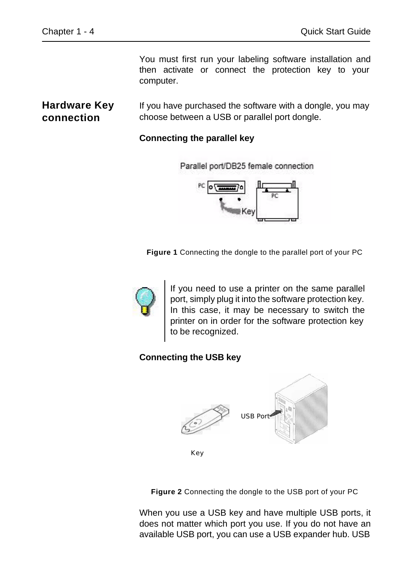You must first run your labeling software installation and then activate or connect the protection key to your computer.

### **Hardware Key connection**

If you have purchased the software with a dongle, you may choose between a USB or parallel port dongle.

#### **Connecting the parallel key**



**Figure 1** Connecting the dongle to the parallel port of your PC



If you need to use a printer on the same parallel port, simply plug it into the software protection key. In this case, it may be necessary to switch the printer on in order for the software protection key to be recognized.

### **Connecting the USB key**



**Figure 2** Connecting the dongle to the USB port of your PC

When you use a USB key and have multiple USB ports, it does not matter which port you use. If you do not have an available USB port, you can use a USB expander hub. USB

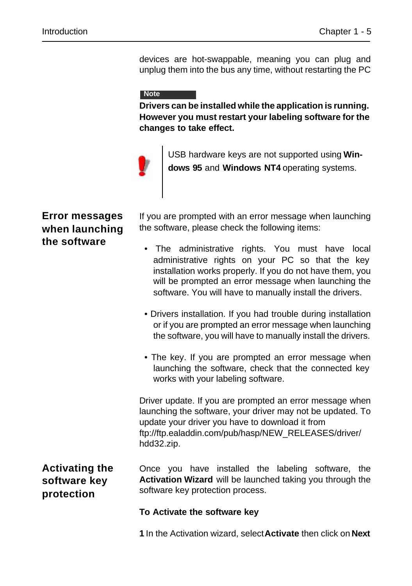devices are hot-swappable, meaning you can plug and unplug them into the bus any time, without restarting the PC

#### **Note**

**Drivers can be installed while the application is running. However you must restart your labeling software for the changes to take effect.**



USB hardware keys are not supported using **Windows 95** and **Windows NT4** operating systems.

### **Error messages when launching the software**

If you are prompted with an error message when launching the software, please check the following items:

- The administrative rights. You must have local administrative rights on your PC so that the key installation works properly. If you do not have them, you will be prompted an error message when launching the software. You will have to manually install the drivers.
- Drivers installation. If you had trouble during installation or if you are prompted an error message when launching the software, you will have to manually install the drivers.
- The key. If you are prompted an error message when launching the software, check that the connected key works with your labeling software.

Driver update. If you are prompted an error message when launching the software, your driver may not be updated. To update your driver you have to download it from ftp://ftp.ealaddin.com/pub/hasp/NEW\_RELEASES/driver/ hdd32.zip.

# **Activating the software key protection**

Once you have installed the labeling software, the **Activation Wizard** will be launched taking you through the software key protection process.

#### **To Activate the software key**

**1** In the Activation wizard, select **Activate** then click on **Next**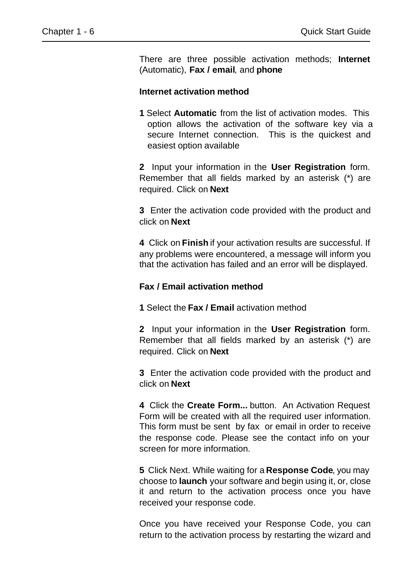There are three possible activation methods; **Internet** (Automatic), **Fax / email**, and **phone**

#### **Internet activation method**

**1** Select **Automatic** from the list of activation modes. This option allows the activation of the software key via a secure Internet connection. This is the quickest and easiest option available

**2** Input your information in the **User Registration** form. Remember that all fields marked by an asterisk (\*) are required. Click on **Next**

**3** Enter the activation code provided with the product and click on **Next**

**4** Click on **Finish** if your activation results are successful. If any problems were encountered, a message will inform you that the activation has failed and an error will be displayed.

#### **Fax / Email activation method**

**1** Select the **Fax / Email** activation method

**2** Input your information in the **User Registration** form. Remember that all fields marked by an asterisk (\*) are required. Click on **Next**

**3** Enter the activation code provided with the product and click on **Next**

**4** Click the **Create Form...** button. An Activation Request Form will be created with all the required user information. This form must be sent by fax or email in order to receive the response code. Please see the contact info on your screen for more information.

**5** Click Next. While waiting for a **Response Code**, you may choose to **launch** your software and begin using it, or, close it and return to the activation process once you have received your response code.

Once you have received your Response Code, you can return to the activation process by restarting the wizard and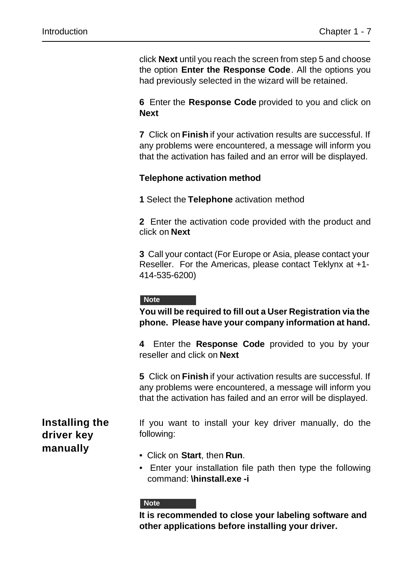click **Next** until you reach the screen from step 5 and choose the option **Enter the Response Code**. All the options you had previously selected in the wizard will be retained.

**6** Enter the **Response Code** provided to you and click on **Next**

**7** Click on **Finish** if your activation results are successful. If any problems were encountered, a message will inform you that the activation has failed and an error will be displayed.

#### **Telephone activation method**

**1** Select the **Telephone** activation method

**2** Enter the activation code provided with the product and click on **Next**

**3** Call your contact (For Europe or Asia, please contact your Reseller. For the Americas, please contact Teklynx at +1- 414-535-6200)

#### **Note**

**You will be required to fill out a User Registration via the phone. Please have your company information at hand.**

**4** Enter the **Response Code** provided to you by your reseller and click on **Next**

**5** Click on **Finish** if your activation results are successful. If any problems were encountered, a message will inform you that the activation has failed and an error will be displayed.

# **Installing the driver key manually**

If you want to install your key driver manually, do the following:

- Click on **Start**, then **Run**.
- Enter your installation file path then type the following command: **\hinstall.exe -i**

#### **Note**

**It is recommended to close your labeling software and other applications before installing your driver.**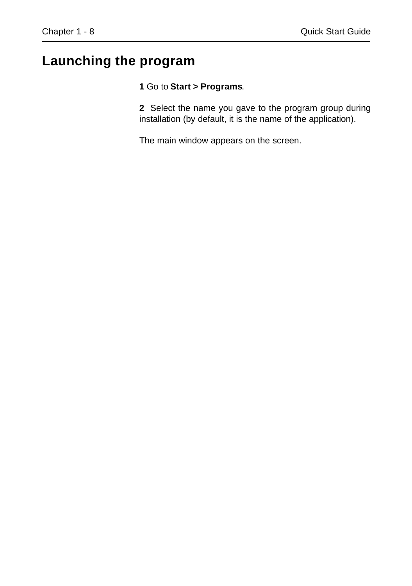# **Launching the program**

#### **1** Go to **Start > Programs**.

**2** Select the name you gave to the program group during installation (by default, it is the name of the application).

The main window appears on the screen.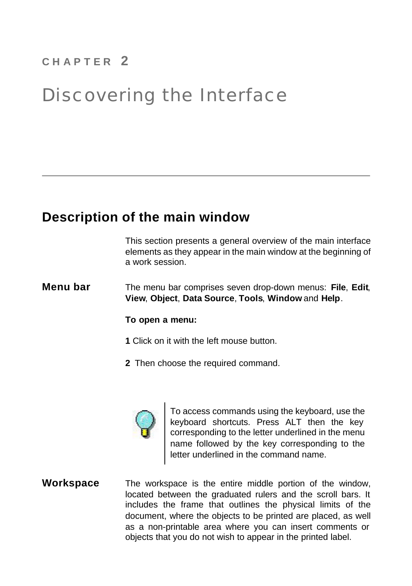# **C H A P T E R 2**

# Discovering the Interface

# **Description of the main window**

This section presents a general overview of the main interface elements as they appear in the main window at the beginning of a work session.

**Menu bar** The menu bar comprises seven drop-down menus: **File**, **Edit**, **View**, **Object**, **Data Source**, **Tools**, **Window** and **Help**.

#### **To open a menu:**

- **1** Click on it with the left mouse button.
- **2** Then choose the required command.



To access commands using the keyboard, use the keyboard shortcuts. Press ALT then the key corresponding to the letter underlined in the menu name followed by the key corresponding to the letter underlined in the command name.

**Workspace** The workspace is the entire middle portion of the window, located between the graduated rulers and the scroll bars. It includes the frame that outlines the physical limits of the document, where the objects to be printed are placed, as well as a non-printable area where you can insert comments or objects that you do not wish to appear in the printed label.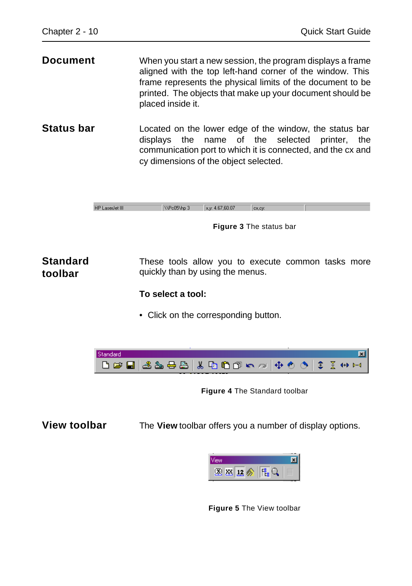**Document** When you start a new session, the program displays a frame aligned with the top left-hand corner of the window. This frame represents the physical limits of the document to be printed. The objects that make up your document should be placed inside it.

**Status bar** Located on the lower edge of the window, the status bar displays the name of the selected printer, the communication port to which it is connected, and the cx and cy dimensions of the object selected.

> **HP** Laserlet III WPo05\hp 3  $x - 4576007$ lex cut

> > **Figure 3** The status bar

**Standard toolbar** These tools allow you to execute common tasks more quickly than by using the menus.

**To select a tool:**

• Click on the corresponding button.



**Figure 4** The Standard toolbar

**View toolbar** The **View** toolbar offers you a number of display options.



**Figure 5** The View toolbar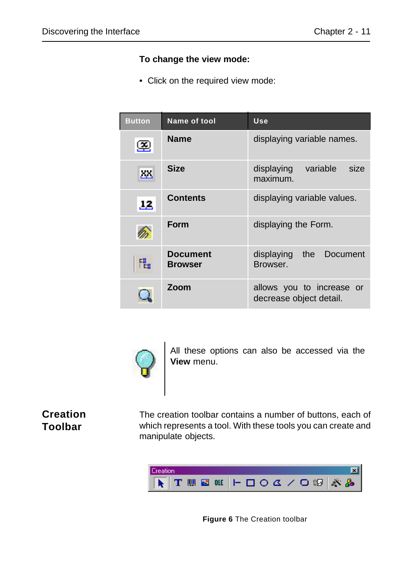#### **To change the view mode:**

• Click on the required view mode:

| <b>Button</b> | Name of tool                      | Use                                                  |
|---------------|-----------------------------------|------------------------------------------------------|
| ≊             | <b>Name</b>                       | displaying variable names.                           |
| XX.           | <b>Size</b>                       | variable<br>displaying<br>size<br>maximum.           |
| 12            | <b>Contents</b>                   | displaying variable values.                          |
|               | Form                              | displaying the Form.                                 |
| 甩             | <b>Document</b><br><b>Browser</b> | displaying<br>the<br>Document<br>Browser.            |
|               | Zoom                              | allows you to increase or<br>decrease object detail. |



All these options can also be accessed via the **View** menu.

### **Creation Toolbar**

The creation toolbar contains a number of buttons, each of which represents a tool. With these tools you can create and manipulate objects.



**Figure 6** The Creation toolbar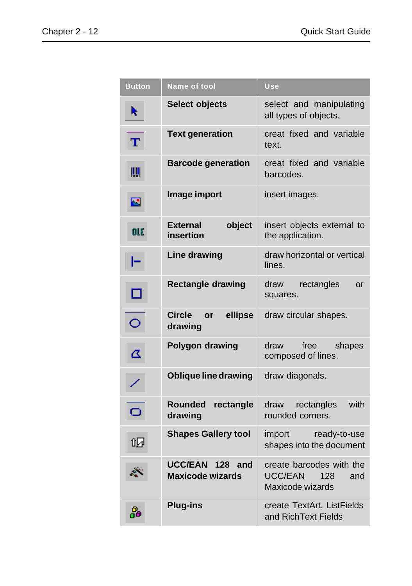| <b>Button</b> | Name of tool                               | <b>Use</b>                                                                   |
|---------------|--------------------------------------------|------------------------------------------------------------------------------|
| R             | <b>Select objects</b>                      | select and manipulating<br>all types of objects.                             |
| $\mathbf T$   | <b>Text generation</b>                     | creat fixed and variable<br>text.                                            |
| Ш             | <b>Barcode generation</b>                  | creat fixed and variable<br>barcodes.                                        |
| $\mathbf{E}$  | Image import                               | insert images.                                                               |
| <b>OLE</b>    | <b>External</b><br>object<br>insertion     | insert objects external to<br>the application.                               |
| ۲             | Line drawing                               | draw horizontal or vertical<br>lines.                                        |
| □             | <b>Rectangle drawing</b>                   | draw<br>rectangles<br>or<br>squares.                                         |
| $\circ$       | <b>Circle</b><br>ellipse<br>or<br>drawing  | draw circular shapes.                                                        |
| Δ             | <b>Polygon drawing</b>                     | draw<br>free<br>shapes<br>composed of lines.                                 |
|               | <b>Oblique line drawing</b>                | draw diagonals.                                                              |
| Ō             | <b>Rounded</b><br>rectangle<br>drawing     | rectangles<br>with<br>draw<br>rounded corners.                               |
| 叼             | <b>Shapes Gallery tool</b>                 | ready-to-use<br>import<br>shapes into the document                           |
|               | UCC/EAN 128 and<br><b>Maxicode wizards</b> | create barcodes with the<br><b>UCC/EAN</b><br>128<br>and<br>Maxicode wizards |
| 品             | <b>Plug-ins</b>                            | create TextArt, ListFields<br>and RichText Fields                            |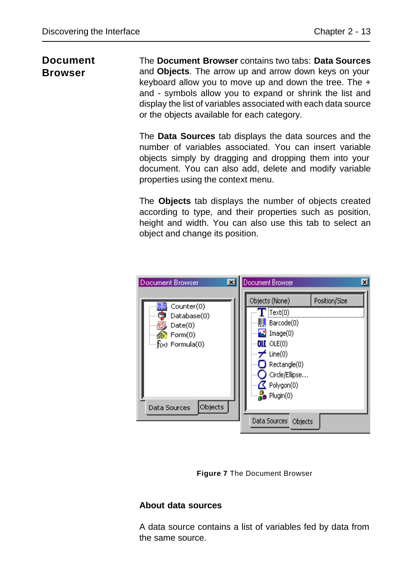### **Document Browser**

The **Document Browser** contains two tabs: **Data Sources** and **Objects**. The arrow up and arrow down keys on your keyboard allow you to move up and down the tree. The + and - symbols allow you to expand or shrink the list and display the list of variables associated with each data source or the objects available for each category.

The **Data Sources** tab displays the data sources and the number of variables associated. You can insert variable objects simply by dragging and dropping them into your document. You can also add, delete and modify variable properties using the context menu.

The **Objects** tab displays the number of objects created according to type, and their properties such as position, height and width. You can also use this tab to select an object and change its position.



**Figure 7** The Document Browser

#### **About data sources**

A data source contains a list of variables fed by data from the same source.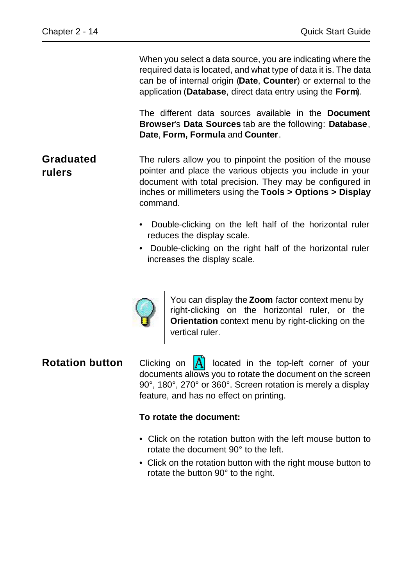When you select a data source, you are indicating where the required data is located, and what type of data it is. The data can be of internal origin (**Date**, **Counter**) or external to the application (**Database**, direct data entry using the **Form**).

The different data sources available in the **Document Browser**'s **Data Sources** tab are the following: **Database**, **Date**, **Form, Formula** and **Counter**.

- **Graduated rulers** The rulers allow you to pinpoint the position of the mouse pointer and place the various objects you include in your document with total precision. They may be configured in inches or millimeters using the **Tools > Options > Display** command.
	- Double-clicking on the left half of the horizontal ruler reduces the display scale.
	- Double-clicking on the right half of the horizontal ruler increases the display scale.



You can display the **Zoom** factor context menu by right-clicking on the horizontal ruler, or the **Orientation** context menu by right-clicking on the vertical ruler.

**Rotation button** Clicking on  $\overrightarrow{A}$  located in the top-left corner of your documents allows you to rotate the document on the screen 90°, 180°, 270° or 360°. Screen rotation is merely a display feature, and has no effect on printing.

#### **To rotate the document:**

- Click on the rotation button with the left mouse button to rotate the document 90° to the left.
- Click on the rotation button with the right mouse button to rotate the button 90° to the right.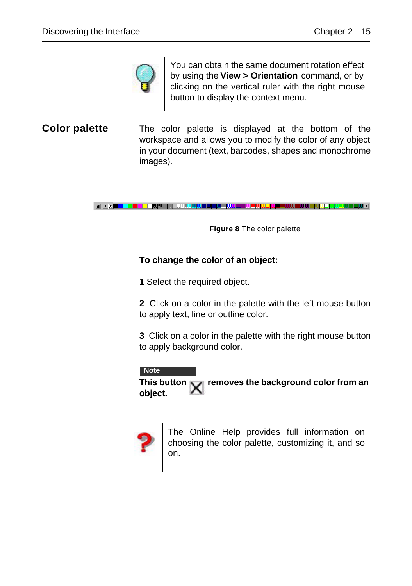

You can obtain the same document rotation effect by using the **View > Orientation** command, or by clicking on the vertical ruler with the right mouse button to display the context menu.

**Color palette** The color palette is displayed at the bottom of the workspace and allows you to modify the color of any object in your document (text, barcodes, shapes and monochrome images).

BIKK TILLE DEL BRERE BREDIGE STATE DET TILLE DEL BREDIGE DELLE DELLE DELLE DELLE DELLE DELLE DELLE DELLE DELL

**Figure 8** The color palette

#### **To change the color of an object:**

**1** Select the required object.

**2** Click on a color in the palette with the left mouse button to apply text, line or outline color.

**3** Click on a color in the palette with the right mouse button to apply background color.

#### **Note**

This button  $\mathbf X$  removes the background color from an **object.**



The Online Help provides full information on choosing the color palette, customizing it, and so on.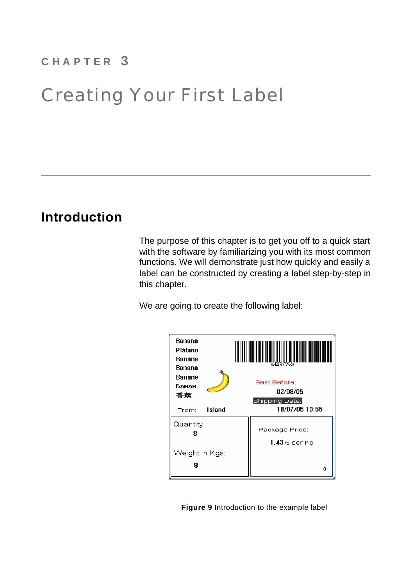# **C H A P T E R 3**

# Creating Your First Label

# **Introduction**

The purpose of this chapter is to get you off to a quick start with the software by familiarizing you with its most common functions. We will demonstrate just how quickly and easily a label can be constructed by creating a label step-by-step in this chapter.

We are going to create the following label:



**Figure 9** Introduction to the example label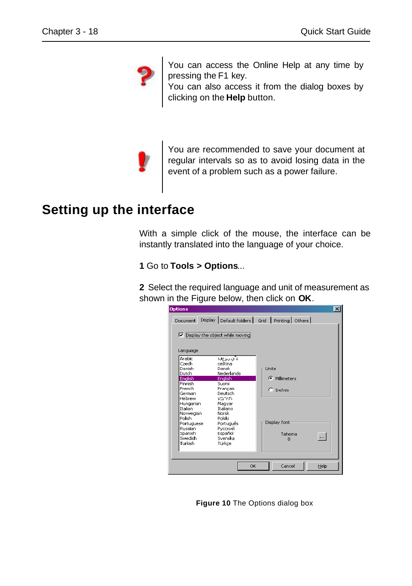

You can access the Online Help at any time by pressing the F1 key.

You can also access it from the dialog boxes by clicking on the **Help** button.



You are recommended to save your document at regular intervals so as to avoid losing data in the event of a problem such as a power failure.

# **Setting up the interface**

With a simple click of the mouse, the interface can be instantly translated into the language of your choice.

**1** Go to **Tools > Options**...

**2** Select the required language and unit of measurement as shown in the Figure below, then click on **OK**.

| <b>Options</b>                                                                                                                                                                                   |                                                                                                                                                                                                 |                                                                              | $\vert x \vert$ |
|--------------------------------------------------------------------------------------------------------------------------------------------------------------------------------------------------|-------------------------------------------------------------------------------------------------------------------------------------------------------------------------------------------------|------------------------------------------------------------------------------|-----------------|
|                                                                                                                                                                                                  |                                                                                                                                                                                                 | Document Display Default folders Grid Printing Others                        |                 |
| Language                                                                                                                                                                                         | $\nabla$ Display the object while moving                                                                                                                                                        |                                                                              |                 |
| Arabic<br>Czech<br>Danish<br>Dutch<br>Enalish<br>Finnish<br>French.<br>German<br>Hehrew<br>Hungarian<br>Italian<br>Norwegian<br>Polish<br>Portuguese<br>Russian<br>Spanish<br>Swedish<br>Turkish | ة ف∪رع⊍ا<br>ceština<br>Dansk<br>Nederlands<br>Enalish<br>Suomi<br>Francais<br>Deutsch<br>חיררע<br>Magyar<br>Traliano<br>Norsk<br>Polski<br>Português<br>Русский<br>Español<br>Svenska<br>Türkce | Linits:<br><b>C</b> Millimeters<br>$C$ Inches<br>Display font<br>Tahoma<br>8 | $\cdots$        |
|                                                                                                                                                                                                  |                                                                                                                                                                                                 | Cancel<br>OK                                                                 | Help            |

**Figure 10** The Options dialog box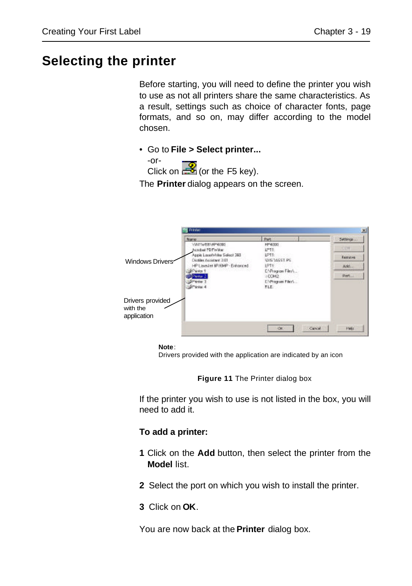# **Selecting the printer**

Before starting, you will need to define the printer you wish to use as not all printers share the same characteristics. As a result, settings such as choice of character fonts, page formats, and so on, may differ according to the model chosen.

• Go to **File > Select printer...**



The **Printer** dialog appears on the screen.



**Note**:

Drivers provided with the application are indicated by an icon

**Figure 11** The Printer dialog box

If the printer you wish to use is not listed in the box, you will need to add it.

#### **To add a printer:**

- **1** Click on the **Add** button, then select the printer from the **Model** list.
- **2** Select the port on which you wish to install the printer.
- **3** Click on **OK**.

You are now back at the **Printer** dialog box.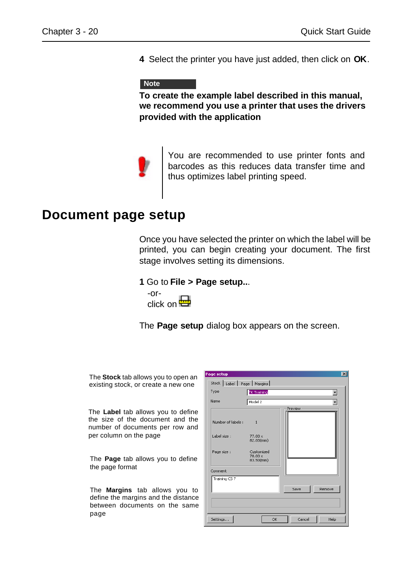**4** Select the printer you have just added, then click on **OK**.

#### **Note**

**To create the example label described in this manual, we recommend you use a printer that uses the drivers provided with the application**



You are recommended to use printer fonts and barcodes as this reduces data transfer time and thus optimizes label printing speed.

# **Document page setup**

Once you have selected the printer on which the label will be printed, you can begin creating your document. The first stage involves setting its dimensions.

#### **1** Go to **File > Page setup..**.



The **Page setup** dialog box appears on the screen.

The **Stock** tab allows you to open an existing stock, or create a new one

The **Label** tab allows you to define the size of the document and the number of documents per row and per column on the page

The **Page** tab allows you to define the page format

The **Margins** tab allows you to define the margins and the distance between documents on the same page

| Page setup                                        |                                                                                     |                | $\vert x \vert$ |
|---------------------------------------------------|-------------------------------------------------------------------------------------|----------------|-----------------|
| Stock   Label   Page   Margins                    |                                                                                     |                |                 |
| Type                                              | <b>TK Training</b>                                                                  |                |                 |
| Name                                              | Model 2                                                                             |                |                 |
| Number of labels :<br>Label size :<br>Page size : | $\overline{1}$<br>$77.00 \times$<br>82.00(mm)<br>Customized<br>78.00 x<br>83.50(mm) | Preview        |                 |
| Comment                                           |                                                                                     |                |                 |
| Training CS 7                                     |                                                                                     | Save<br>Remove |                 |
| Settings.                                         | OK                                                                                  | Cancel         | Help            |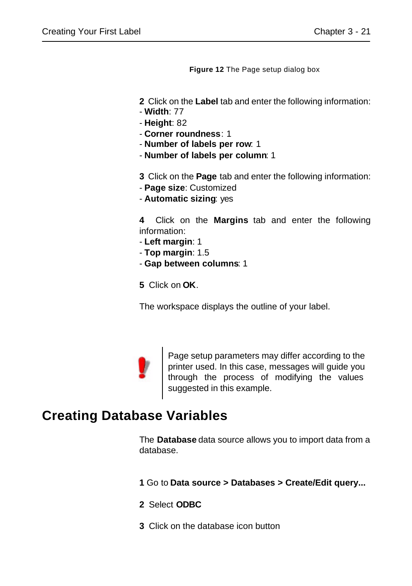**Figure 12** The Page setup dialog box

**2** Click on the **Label** tab and enter the following information:

- **Width**: 77
- **Height**: 82
- **Corner roundness**: 1
- **Number of labels per row**: 1
- **Number of labels per column**: 1

**3** Click on the **Page** tab and enter the following information:

- **Page size**: Customized
- **Automatic sizing**: yes

**4** Click on the **Margins** tab and enter the following information:

- **Left margin**: 1
- **Top margin**: 1.5
- **Gap between columns**: 1

**5** Click on **OK**.

The workspace displays the outline of your label.



Page setup parameters may differ according to the printer used. In this case, messages will guide you through the process of modifying the values suggested in this example.

# **Creating Database Variables**

The **Database** data source allows you to import data from a database.

**1** Go to **Data source > Databases > Create/Edit query...**

- **2** Select **ODBC**
- **3** Click on the database icon button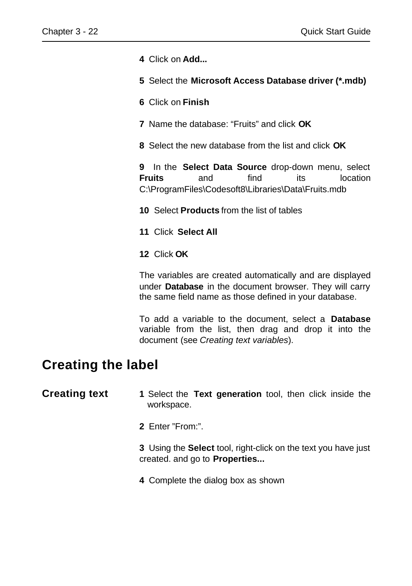**4** Click on **Add...**

- **5** Select the **Microsoft Access Database driver (\*.mdb)**
- **6** Click on **Finish**
- **7** Name the database: "Fruits" and click **OK**
- **8** Select the new database from the list and click **OK**

**9** In the **Select Data Source** drop-down menu, select **Fruits** and find its location C:\ProgramFiles\Codesoft8\Libraries\Data\Fruits.mdb

**10** Select **Products** from the list of tables

- **11** Click **Select All**
- **12** Click **OK**

The variables are created automatically and are displayed under **Database** in the document browser. They will carry the same field name as those defined in your database.

To add a variable to the document, select a **Database** variable from the list, then drag and drop it into the document (see *Creating text variables*).

# **Creating the label**

- **Creating text 1** Select the **Text generation** tool, then click inside the workspace.
	- **2** Enter "From:".

**3** Using the **Select** tool, right-click on the text you have just created. and go to **Properties...**

**4** Complete the dialog box as shown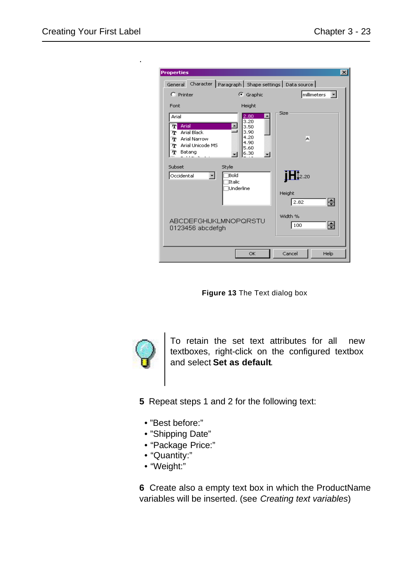.

| <b>Properties</b>    |                    |                       |                   |                                                              | ⊠             |
|----------------------|--------------------|-----------------------|-------------------|--------------------------------------------------------------|---------------|
|                      |                    |                       |                   | General Character   Paragraph   Shape settings   Data source |               |
| $C$ Printer          |                    |                       | G Graphic         |                                                              | millimeters - |
| Font                 |                    |                       | Height            |                                                              |               |
| Arial                |                    |                       | 2.80<br>3,20      | Size                                                         |               |
| Arial<br>T<br>m      | <b>Arial Black</b> | $\blacktriangle$      | 3.50<br>3.90      |                                                              |               |
|                      | Tr Arial Narrow    |                       | 4.20<br>4.90      | А                                                            |               |
| m<br>T Batang        | Arial Unicode MS   |                       | 5.60<br>6.30<br>÷ |                                                              |               |
|                      |                    |                       |                   |                                                              |               |
| Subset<br>Occidental | ▾                  | Style<br>Bold         |                   | $\mathbf{H}^{2.20}$                                          |               |
|                      |                    | Italic                |                   |                                                              |               |
|                      |                    | Underline             |                   | Height                                                       |               |
|                      |                    |                       |                   | 2.82                                                         | H             |
|                      |                    |                       |                   | Width %                                                      |               |
|                      | 0123456 abcdefgh   | ABCDEFGHIJKLMNOPQRSTU |                   | 100                                                          | H             |
|                      |                    |                       |                   |                                                              |               |
|                      |                    |                       | OK                | Cancel                                                       | Help          |
|                      |                    |                       |                   |                                                              |               |

**Figure 13** The Text dialog box



To retain the set text attributes for all new textboxes, right-click on the configured textbox and select **Set as default**.

- **5** Repeat steps 1 and 2 for the following text:
	- "Best before:"
	- "Shipping Date"
	- "Package Price:"
	- "Quantity:"
	- "Weight:"

**6** Create also a empty text box in which the ProductName variables will be inserted. (see *Creating text variables*)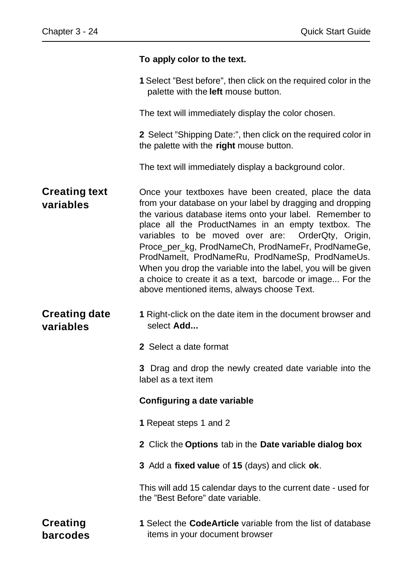#### **To apply color to the text.**

**1** Select "Best before", then click on the required color in the palette with the **left** mouse button.

The text will immediately display the color chosen.

**2** Select "Shipping Date:", then click on the required color in the palette with the **right** mouse button.

The text will immediately display a background color.

- **Creating text variables**  Once your textboxes have been created, place the data from your database on your label by dragging and dropping the various database items onto your label. Remember to place all the ProductNames in an empty textbox. The variables to be moved over are: OrderQty, Origin, Proce\_per\_kg, ProdNameCh, ProdNameFr, ProdNameGe, ProdNameIt, ProdNameRu, ProdNameSp, ProdNameUs. When you drop the variable into the label, you will be given a choice to create it as a text, barcode or image... For the above mentioned items, always choose Text.
- **Creating date variables 1** Right-click on the date item in the document browser and select **Add...**
	- **2** Select a date format

**3** Drag and drop the newly created date variable into the label as a text item

#### **Configuring a date variable**

- **1** Repeat steps 1 and 2
- **2** Click the **Options** tab in the **Date variable dialog box**
- **3** Add a **fixed value** of **15** (days) and click **ok**.

This will add 15 calendar days to the current date - used for the "Best Before" date variable.

**Creating barcodes 1** Select the **CodeArticle** variable from the list of database items in your document browser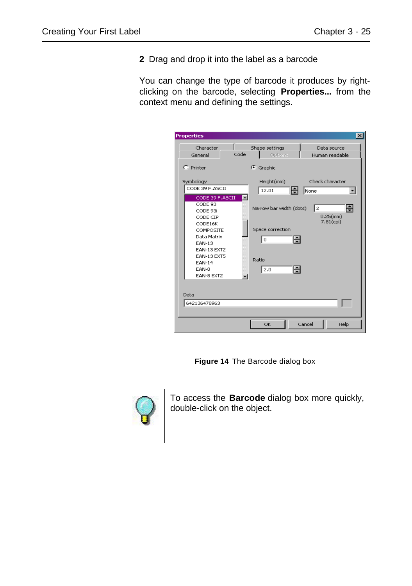**2** Drag and drop it into the label as a barcode

You can change the type of barcode it produces by rightclicking on the barcode, selecting **Properties...** from the context menu and defining the settings.

| <b>Properties</b>                                                                                      |      |                                                        | $\vert x \vert$                     |
|--------------------------------------------------------------------------------------------------------|------|--------------------------------------------------------|-------------------------------------|
| Character<br>General                                                                                   | Code | Shape settings<br>Options                              | Data source<br>Human readable       |
| $C$ Printer                                                                                            |      | G Graphic                                              |                                     |
| Symbology<br>CODE 39 F.ASCII<br>CODE 39 F.ASCII                                                        |      | Height(mm)<br>12.01<br>H                               | Check character<br>None             |
| CODE 93<br>CODE 93i<br>CODE CIP<br>CODE16K<br>COMPOSITE<br>Data Matrix<br><b>FAN-13</b><br>EAN-13 EXT2 |      | Narrow bar width (dots)<br>Space correction<br>÷<br>I٥ | 日<br>l2<br>$0.25$ (mm)<br>7.81(cpi) |
| EAN-13 EXT5<br><b>EAN-14</b><br>EAN-8<br>FAN-8 FXT2                                                    |      | Ratio<br>÷<br>2.0                                      |                                     |
| Data<br>642136478963                                                                                   |      |                                                        |                                     |
|                                                                                                        |      | OK                                                     | Cancel<br>Help                      |

**Figure 14** The Barcode dialog box



To access the **Barcode** dialog box more quickly, double-click on the object.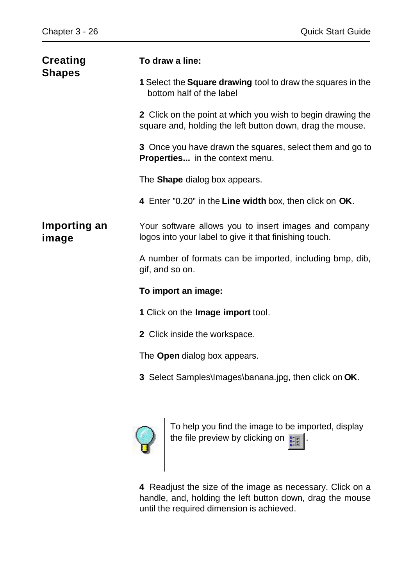| <b>Creating</b><br><b>Shapes</b> | To draw a line:                                                                                                          |
|----------------------------------|--------------------------------------------------------------------------------------------------------------------------|
|                                  | 1 Select the <b>Square drawing</b> tool to draw the squares in the<br>bottom half of the label                           |
|                                  | 2 Click on the point at which you wish to begin drawing the<br>square and, holding the left button down, drag the mouse. |
|                                  | 3 Once you have drawn the squares, select them and go to<br><b>Properties</b> in the context menu.                       |
|                                  | The <b>Shape</b> dialog box appears.                                                                                     |
|                                  | 4 Enter "0.20" in the Line width box, then click on OK.                                                                  |
| Importing an<br>image            | Your software allows you to insert images and company<br>logos into your label to give it that finishing touch.          |
|                                  | A number of formats can be imported, including bmp, dib,<br>gif, and so on.                                              |
|                                  | To import an image:                                                                                                      |
|                                  | 1 Click on the Image import tool.                                                                                        |
|                                  | 2 Click inside the workspace.                                                                                            |
|                                  | The <b>Open</b> dialog box appears.                                                                                      |
|                                  | 3 Select Samples\Images\banana.jpg, then click on OK.                                                                    |
|                                  |                                                                                                                          |



To help you find the image to be imported, display the file preview by clicking on  $\| \cdot \|$ .

**4** Readjust the size of the image as necessary. Click on a handle, and, holding the left button down, drag the mouse until the required dimension is achieved.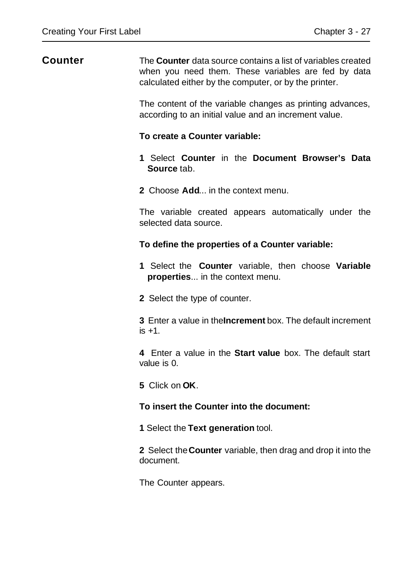# **Counter** The **Counter** data source contains a list of variables created when you need them. These variables are fed by data calculated either by the computer, or by the printer. The content of the variable changes as printing advances, according to an initial value and an increment value.

#### **To create a Counter variable:**

- **1** Select **Counter** in the **Document Browser's Data Source** tab.
- **2** Choose **Add**... in the context menu.

The variable created appears automatically under the selected data source.

#### **To define the properties of a Counter variable:**

- **1** Select the **Counter** variable, then choose **Variable properties**... in the context menu.
- **2** Select the type of counter.

**3** Enter a value in the **Increment** box. The default increment  $is +1$ .

**4** Enter a value in the **Start value** box. The default start value is 0.

**5** Click on **OK**.

#### **To insert the Counter into the document:**

**1** Select the **Text generation** tool.

**2** Select the **Counter** variable, then drag and drop it into the document.

The Counter appears.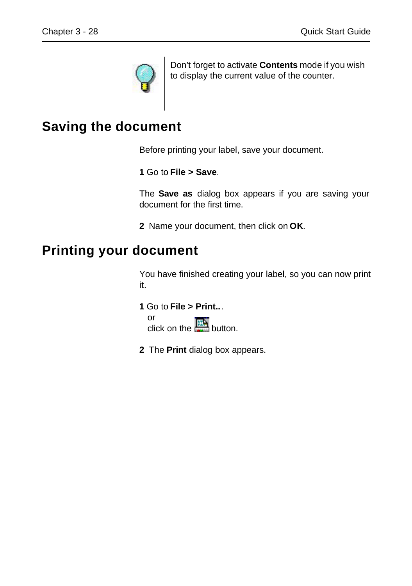

Don't forget to activate **Contents** mode if you wish to display the current value of the counter.

# **Saving the document**

Before printing your label, save your document.

**1** Go to **File > Save**.

The **Save as** dialog box appears if you are saving your document for the first time.

**2** Name your document, then click on **OK**.

# **Printing your document**

You have finished creating your label, so you can now print it.

**1** Go to **File > Print..**.

or click on the  $\frac{\mathbb{E}[\mathbf{F}]}{\mathbb{E}[\mathbf{F}]}$  button.

**2** The **Print** dialog box appears.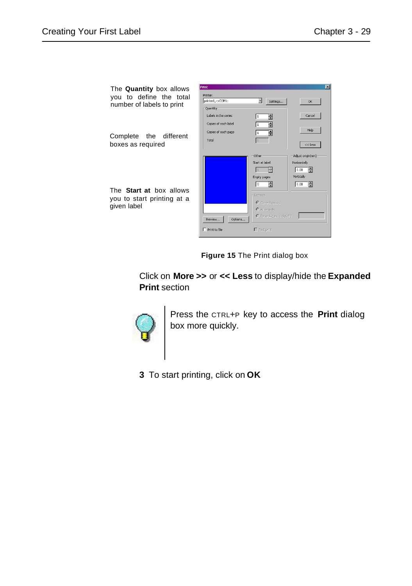| The Quantity box allows                                                     | Print                                       |                                                                                                                                  | $\overline{\mathbf{x}}$                                                   |
|-----------------------------------------------------------------------------|---------------------------------------------|----------------------------------------------------------------------------------------------------------------------------------|---------------------------------------------------------------------------|
| you to define the total<br>number of labels to print                        | Printer:<br>printer1,->COM1:                | ⊣<br>Settings                                                                                                                    | OK.                                                                       |
|                                                                             | Quantity<br>Labels in the series            | H<br>I1                                                                                                                          | Cancel                                                                    |
| the different<br>Complete                                                   | Copies of each label<br>Copies of each page | ē<br>I1<br>H<br>11                                                                                                               | Help                                                                      |
| boxes as required                                                           | Total                                       |                                                                                                                                  | $<<$ Less                                                                 |
| The <b>Start at</b> box allows<br>you to start printing at a<br>given label | Options<br>Preview                          | Other<br>Start at label<br>Empty pages<br>ᆃ<br>l o<br>-Records<br>C Current record<br>C All resords<br>$C$ Records (exc 1-3;6;8) | Adjust origin(mm)<br>Horizontally<br>Η<br>0.00<br>Vertically<br>Ħ<br>0.00 |
|                                                                             | $\Gamma$ Print to file                      | $\Gamma$ Test print                                                                                                              |                                                                           |

**Figure 15** The Print dialog box

Click on **More >>** or **<< Less** to display/hide the **Expanded Print** section



Press the CTRL+P key to access the **Print** dialog box more quickly.

**3** To start printing, click on **OK**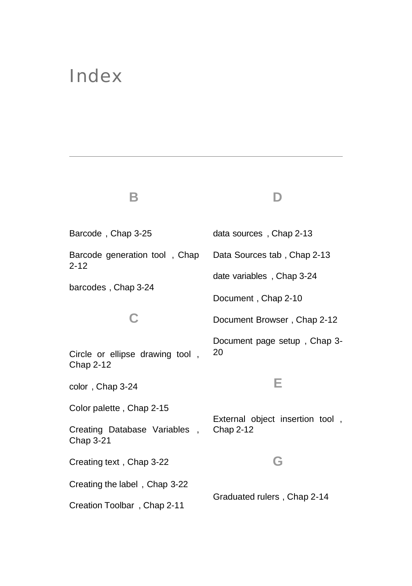# Index

**B**

Barcode , Chap 3-25 Barcode generation tool , Chap 2-12 barcodes , Chap 3-24 **C** Circle or ellipse drawing tool , Chap 2-12 color , Chap 3-24 Color palette , Chap 2-15 Creating Database Variables , Chap 3-21 Creating text , Chap 3-22 Creating the label , Chap 3-22 Creation Toolbar , Chap 2-11 data sources , Chap 2-13 Data Sources tab , Chap 2-13 date variables , Chap 3-24 Document , Chap 2-10 Document Browser , Chap 2-12 Document page setup , Chap 3- 20 **E** External object insertion tool , Chap 2-12 **G** Graduated rulers , Chap 2-14

**D**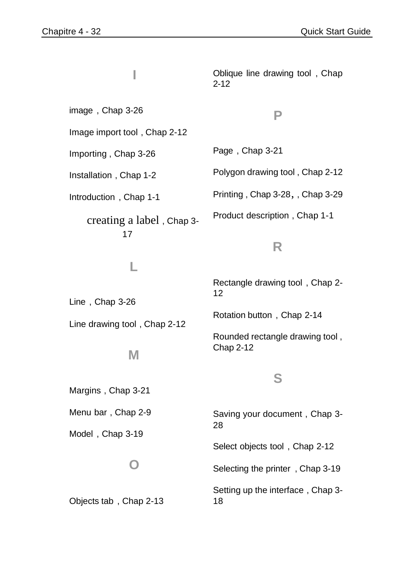**I**

image , Chap 3-26

Image import tool , Chap 2-12

Importing , Chap 3-26

Installation , Chap 1-2

Introduction , Chap 1-1

creating a label , Chap 3- 17

**L**

Line drawing tool , Chap 2-12

**M**

# **P**

Oblique line drawing tool , Chap

Page , Chap 3-21

2-12

Polygon drawing tool , Chap 2-12

Printing , Chap 3-28, , Chap 3-29

Product description , Chap 1-1

# **R**

Rectangle drawing tool , Chap 2- 12

Rotation button , Chap 2-14

Rounded rectangle drawing tool , Chap 2-12

#### **S**

Margins , Chap 3-21

Menu bar , Chap 2-9

Line , Chap 3-26

Model , Chap 3-19

# **O**

Objects tab , Chap 2-13

Saving your document , Chap 3- 28

Select objects tool , Chap 2-12

Selecting the printer , Chap 3-19

Setting up the interface , Chap 3- 18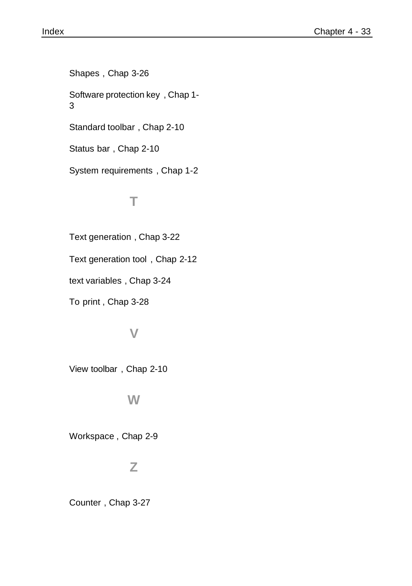Shapes , Chap 3-26 Software protection key , Chap 1- 3 Standard toolbar , Chap 2-10 Status bar , Chap 2-10

System requirements , Chap 1-2

# **T**

Text generation , Chap 3-22

Text generation tool , Chap 2-12

text variables , Chap 3-24

To print , Chap 3-28

# **V**

View toolbar , Chap 2-10

# **W**

Workspace , Chap 2-9

# **Z**

Counter , Chap 3-27